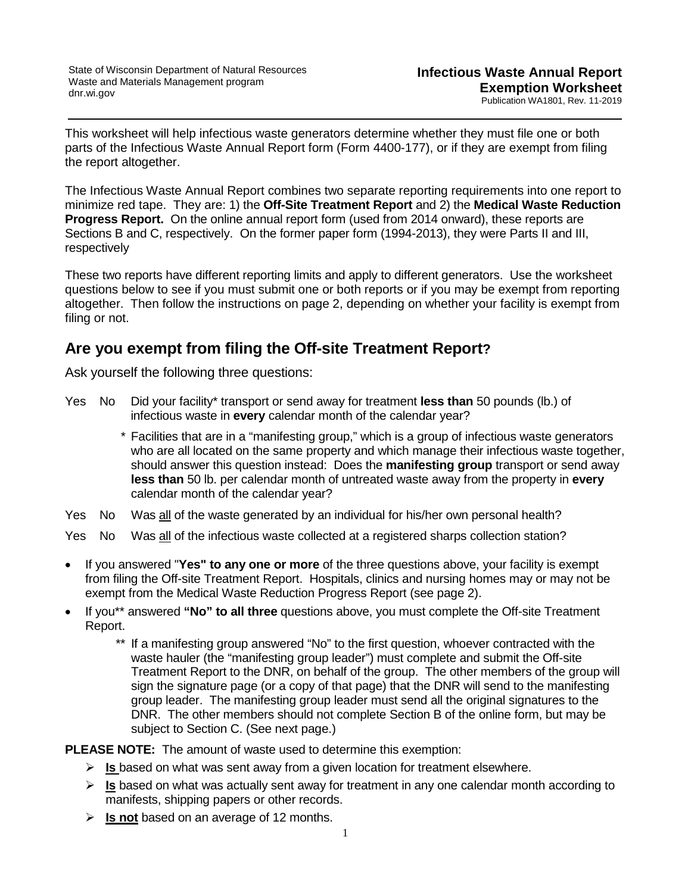This worksheet will help infectious waste generators determine whether they must file one or both parts of the Infectious Waste Annual Report form (Form 4400-177), or if they are exempt from filing the report altogether.

The Infectious Waste Annual Report combines two separate reporting requirements into one report to minimize red tape. They are: 1) the **Off-Site Treatment Report** and 2) the **Medical Waste Reduction Progress Report.** On the online annual report form (used from 2014 onward), these reports are Sections B and C, respectively. On the former paper form (1994-2013), they were Parts II and III, respectively

These two reports have different reporting limits and apply to different generators. Use the worksheet questions below to see if you must submit one or both reports or if you may be exempt from reporting altogether. Then follow the instructions on page 2, depending on whether your facility is exempt from filing or not.

## **Are you exempt from filing the Off-site Treatment Report?**

Ask yourself the following three questions:

- Yes No Did your facility\* transport or send away for treatment **less than** 50 pounds (lb.) of infectious waste in **every** calendar month of the calendar year?
	- \* Facilities that are in a "manifesting group," which is a group of infectious waste generators who are all located on the same property and which manage their infectious waste together, should answer this question instead: Does the **manifesting group** transport or send away **less than** 50 lb. per calendar month of untreated waste away from the property in **every** calendar month of the calendar year?
- Yes No Was all of the waste generated by an individual for his/her own personal health?
- Yes No Was all of the infectious waste collected at a registered sharps collection station?
- If you answered "**Yes" to any one or more** of the three questions above, your facility is exempt from filing the Off-site Treatment Report. Hospitals, clinics and nursing homes may or may not be exempt from the Medical Waste Reduction Progress Report (see page 2).
- If you\*\* answered **"No" to all three** questions above, you must complete the Off-site Treatment Report.
	- \*\* If a manifesting group answered "No" to the first question, whoever contracted with the waste hauler (the "manifesting group leader") must complete and submit the Off-site Treatment Report to the DNR, on behalf of the group. The other members of the group will sign the signature page (or a copy of that page) that the DNR will send to the manifesting group leader. The manifesting group leader must send all the original signatures to the DNR. The other members should not complete Section B of the online form, but may be subject to Section C. (See next page.)

**PLEASE NOTE:** The amount of waste used to determine this exemption:

- **Is** based on what was sent away from a given location for treatment elsewhere.
- **Ex** Is based on what was actually sent away for treatment in any one calendar month according to manifests, shipping papers or other records.
- **Is not** based on an average of 12 months.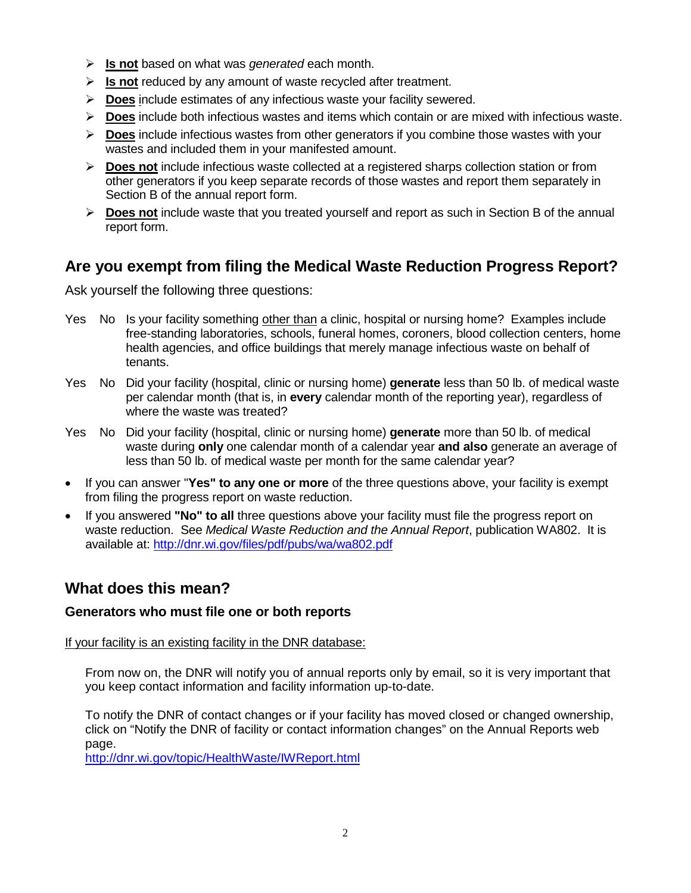- **Is not** based on what was *generated* each month.
- **Is not** reduced by any amount of waste recycled after treatment.
- **Does** include estimates of any infectious waste your facility sewered.
- **Does** include both infectious wastes and items which contain or are mixed with infectious waste.
- **Does** include infectious wastes from other generators if you combine those wastes with your wastes and included them in your manifested amount.
- **EXECT** Does not include infectious waste collected at a registered sharps collection station or from other generators if you keep separate records of those wastes and report them separately in Section B of the annual report form.
- **Does not** include waste that you treated yourself and report as such in Section B of the annual report form.

# **Are you exempt from filing the Medical Waste Reduction Progress Report?**

Ask yourself the following three questions:

- Yes No Is your facility something other than a clinic, hospital or nursing home? Examples include free-standing laboratories, schools, funeral homes, coroners, blood collection centers, home health agencies, and office buildings that merely manage infectious waste on behalf of tenants.
- Yes No Did your facility (hospital, clinic or nursing home) **generate** less than 50 lb. of medical waste per calendar month (that is, in **every** calendar month of the reporting year), regardless of where the waste was treated?
- Yes No Did your facility (hospital, clinic or nursing home) **generate** more than 50 lb. of medical waste during **only** one calendar month of a calendar year **and also** generate an average of less than 50 lb. of medical waste per month for the same calendar year?
- If you can answer "**Yes" to any one or more** of the three questions above, your facility is exempt from filing the progress report on waste reduction.
- If you answered **"No" to all** three questions above your facility must file the progress report on waste reduction. See *Medical Waste Reduction and the Annual Report*, publication WA802. It is available at:<http://dnr.wi.gov/files/pdf/pubs/wa/wa802.pdf>

# **What does this mean?**

## **Generators who must file one or both reports**

If your facility is an existing facility in the DNR database:

From now on, the DNR will notify you of annual reports only by email, so it is very important that you keep contact information and facility information up-to-date.

To notify the DNR of contact changes or if your facility has moved closed or changed ownership, click on "Notify the DNR of facility or contact information changes" on the Annual Reports web page.

<http://dnr.wi.gov/topic/HealthWaste/IWReport.html>